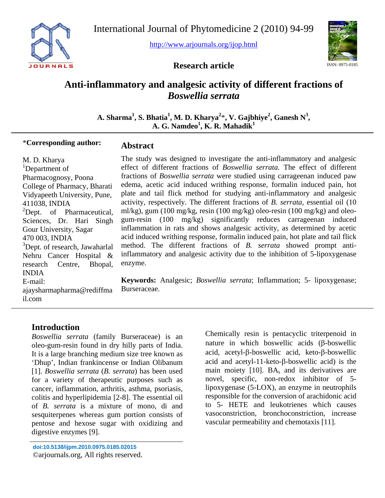

International Journal of Phytomedicine 2 (2010) 94-99

<http://www.arjournals.org/ijop.html>



**Research article** 

# **Anti-inflammatory and analgesic activity of different fractions of**  *Boswellia serrata*

A. Sharma<sup>1</sup>, S. Bhatia<sup>1</sup>, M. D. Kharya<sup>2</sup>\*, V. Gajbhiye<sup>2</sup>, Ganesh N<sup>3</sup>,  $\mathbf{A}$ . **G. Namdeo<sup>1</sup>, K. R. Mahadik<sup>1</sup>** 

**Abstract** 

#### \***Corresponding author:**

M. D. Kharya <sup>1</sup>Department of Pharmacognosy, Poona College of Pharmacy, Bharati Vidyapeeth University, Pune, 411038, INDIA  ${}^{2}$ Dept. of Pharmaceutical, Sciences, Dr. Hari Singh Gour University, Sagar 470 003, INDIA <sup>3</sup>Dept. of research, Jawaharlal Nehru Cancer Hospital & research Centre, Bhopal, INDIA E-mail: ajaysharmapharma@rediffma il.com

The study was designed to investigate the anti-inflammatory and analgesic effect of different fractions of *Boswellia serrata.* The effect of different fractions of *Boswellia serrata* were studied using carrageenan induced paw edema, acetic acid induced writhing response, formalin induced pain, hot plate and tail flick method for studying anti-inflammatory and analgesic activity, respectively. The different fractions of *B. serrata,* essential oil (10 ml/kg), gum (100 mg/kg, resin (100 mg/kg) oleo-resin (100 mg/kg) and oleogum-resin (100 mg/kg) significantly reduces carrageenan induced inflammation in rats and shows analgesic activity, as determined by acetic acid induced writhing response, formalin induced pain, hot plate and tail flick method. The different fractions of *B. serrata* showed prompt antiinflammatory and analgesic activity due to the inhibition of 5-lipoxygenase enzyme.

**Keywords:** Analgesic; *Boswellia serrata*; Inflammation; 5- lipoxygenase; Burseraceae.

# **Introduction**

*Boswellia serrata* (family Burseraceae) is an oleo-gum-resin found in dry hilly parts of India. It is a large branching medium size tree known as 'Dhup', Indian frankincense or Indian Olibanum [1]. *Boswellia serrata* (*B. serrata*) has been used for a variety of therapeutic purposes such as cancer, inflammation, arthritis, asthma, psoriasis, colitis and hyperlipidemia [2-8]. The essential oil of *B. serrata* is a mixture of mono, di and sesquiterpenes whereas gum portion consists of pentose and hexose sugar with oxidizing and digestive enzymes [9].

Chemically resin is pentacyclic triterpenoid in nature in which boswellic acids (β-boswellic acid, acetyl-β-boswellic acid, keto-β-boswellic acid and acetyl-11-keto-β-boswellic acid) is the main moiety  $[10]$ . BA<sub>s</sub> and its derivatives are novel, specific, non-redox inhibitor of 5 lipoxygenase (5-LOX), an enzyme in neutrophils responsible for the conversion of arachidonic acid to 5- HETE and leukotrienes which causes vasoconstriction, bronchoconstriction, increase vascular permeability and chemotaxis [11].

**doi:10.5138/ijpm.2010.0975.0185.02015**  ©arjournals.org, All rights reserved.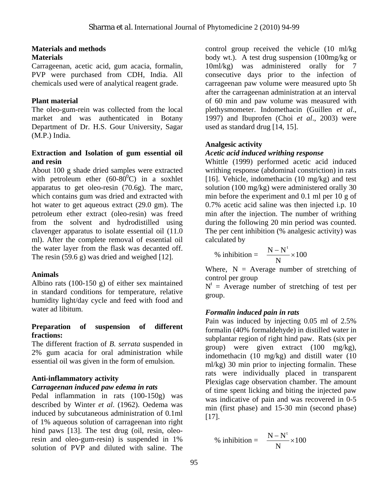#### **Materials and methods Materials**

Carrageenan, acetic acid, gum acacia, formalin, PVP were purchased from CDH, India. All chemicals used were of analytical reagent grade.

### **Plant material**

The oleo-gum-rein was collected from the local market and was authenticated in Botany Department of Dr. H.S. Gour University, Sagar (M.P.) India.

#### **Extraction and Isolation of gum essential oil and resin**

About 100 g shade dried samples were extracted with petroleum ether  $(60-80^{\circ}C)$  in a soxhlet apparatus to get oleo-resin (70.6g). The marc, which contains gum was dried and extracted with hot water to get aqueous extract (29.0 gm). The petroleum ether extract (oleo-resin) was freed from the solvent and hydrodistilled using clavenger apparatus to isolate essential oil (11.0 ml). After the complete removal of essential oil the water layer from the flask was decanted off. The resin (59.6 g) was dried and weighed [12].

#### **Animals**

Albino rats (100-150 g) of either sex maintained in standard conditions for temperature, relative humidity light/day cycle and feed with food and water ad libitum.

#### **Preparation of suspension of different fractions:**

The different fraction of *B. serrata* suspended in 2% gum acacia for oral administration while essential oil was given in the form of emulsion.

# **Anti-inflammatory activity**

#### *Carrageenan induced paw edema in rats*

Pedal inflammation in rats (100-150g) was described by Winter *et al*. (1962). Oedema was induced by subcutaneous administration of 0.1ml of 1% aqueous solution of carrageenan into right hind paws [13]. The test drug (oil, resin, oleoresin and oleo-gum-resin) is suspended in 1% solution of PVP and diluted with saline. The

control group received the vehicle (10 ml/kg body wt.). A test drug suspension (100mg/kg or 10ml/kg) was administered orally for 7 consecutive days prior to the infection of carrageenan paw volume were measured upto 5h after the carrageenan administration at an interval of 60 min and paw volume was measured with plethysmometer. Indomethacin (Guillen *et al*., 1997) and Ibuprofen (Choi *et al*., 2003) were used as standard drug [14, 15].

## **Analgesic activity**

## *Acetic acid induced writhing response*

Whittle (1999) performed acetic acid induced writhing response (abdominal constriction) in rats [16]. Vehicle, indomethacin (10 mg/kg) and test solution (100 mg/kg) were administered orally 30 min before the experiment and 0.1 ml per 10 g of 0.7% acetic acid saline was then injected i.p. 10 min after the injection. The number of writhing during the following 20 min period was counted. The per cent inhibition (% analgesic activity) was calculated by

% inhibition = 
$$
\frac{N - N^{t}}{N} \times 100
$$

Where,  $N =$  Average number of stretching of control per group

 $N<sup>t</sup>$  = Average number of stretching of test per group.

#### *Formalin induced pain in rats*

Pain was induced by injecting 0.05 ml of 2.5% formalin (40% formaldehyde) in distilled water in subplantar region of right hind paw. Rats (six per group) were given extract (100 mg/kg), indomethacin (10 mg/kg) and distill water (10 ml/kg) 30 min prior to injecting formalin. These rats were individually placed in transparent Plexiglas cage observation chamber. The amount of time spent licking and biting the injected paw was indicative of pain and was recovered in 0-5 min (first phase) and 15-30 min (second phase) [17].

% inhibition = 
$$
\frac{N - N^{t}}{N} \times 100
$$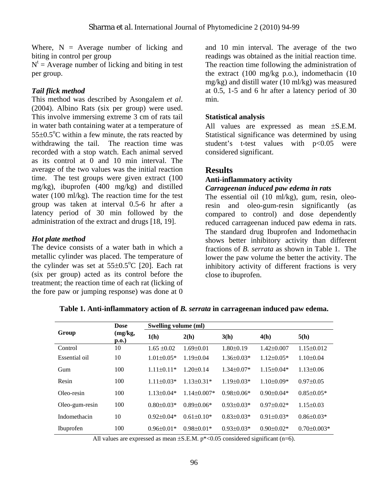Where,  $N =$  Average number of licking and biting in control per group

 $N<sup>t</sup>$  = Average number of licking and biting in test per group.

### *Tail flick method*

This method was described by Asongalem *et al*. (2004). Albino Rats (six per group) were used. This involve immersing extreme 3 cm of rats tail in water bath containing water at a temperature of  $55\pm0.5^{\circ}$ C within a few minute, the rats reacted by withdrawing the tail. The reaction time was recorded with a stop watch. Each animal served as its control at 0 and 10 min interval. The average of the two values was the initial reaction time. The test groups were given extract (100 mg/kg), ibuprofen (400 mg/kg) and distilled water (100 ml/kg). The reaction time for the test group was taken at interval 0.5-6 hr after a latency period of 30 min followed by the administration of the extract and drugs [18, 19].

## *Hot plate method*

The device consists of a water bath in which a metallic cylinder was placed. The temperature of the cylinder was set at  $55\pm0.5^{\circ}$ C [20]. Each rat (six per group) acted as its control before the treatment; the reaction time of each rat (licking of the fore paw or jumping response) was done at 0

and 10 min interval. The average of the two readings was obtained as the initial reaction time. The reaction time following the administration of the extract (100 mg/kg p.o.), indomethacin (10 mg/kg) and distill water (10 ml/kg) was measured at 0.5, 1-5 and 6 hr after a latency period of 30 min.

### **Statistical analysis**

All values are expressed as mean ±S.E.M. Statistical significance was determined by using student's t-test values with p<0.05 were considered significant.

# **Results**

# **Anti-inflammatory activity**

#### *Carrageenan induced paw edema in rats*

The essential oil (10 ml/kg), gum, resin, oleoresin and oleo-gum-resin significantly (as compared to control) and dose dependently reduced carrageenan induced paw edema in rats. The standard drug Ibuprofen and Indomethacin shows better inhibitory activity than different fractions of *B. serrata* as shown in Table 1. The lower the paw volume the better the activity. The inhibitory activity of different fractions is very close to ibuprofen.

| Group          | <b>Dose</b><br>(mg/kg,<br>$\mathbf{p}.\mathbf{o}$ .) | Swelling volume (ml) |                   |                  |                  |                   |
|----------------|------------------------------------------------------|----------------------|-------------------|------------------|------------------|-------------------|
|                |                                                      | 1(h)                 | 2(h)              | 3(h)             | 4(h)             | 5(h)              |
| Control        | 10                                                   | $1.65 \pm 0.02$      | $1.69 \pm 0.01$   | $1.80 \pm 0.19$  | $1.42\pm0.007$   | $1.15 \pm 0.012$  |
| Essential oil  | 10                                                   | $1.01 \pm 0.05*$     | $1.19 \pm 0.04$   | $1.36 \pm 0.03*$ | $1.12 \pm 0.05*$ | $1.10\pm0.04$     |
| Gum            | 100                                                  | $1.11\pm0.11*$       | $1.20 \pm 0.14$   | $1.34\pm0.07*$   | $1.15 \pm 0.04*$ | $1.13 \pm 0.06$   |
| Resin          | 100                                                  | $1.11 \pm 0.03*$     | $1.13 \pm 0.31*$  | $1.19 \pm 0.03*$ | $1.10\pm0.09*$   | $0.97 \pm 0.05$   |
| Oleo-resin     | 100                                                  | $1.13 \pm 0.04*$     | $1.14 \pm 0.007*$ | $0.98 \pm 0.06*$ | $0.90 \pm 0.04*$ | $0.85 \pm 0.05*$  |
| Oleo-gum-resin | 100                                                  | $0.80 \pm 0.03*$     | $0.89 \pm 0.06*$  | $0.93 \pm 0.03*$ | $0.97 \pm 0.02*$ | $1.15 \pm 0.03$   |
| Indomethacin   | 10                                                   | $0.92 \pm 0.04*$     | $0.61 \pm 0.10*$  | $0.83 \pm 0.03*$ | $0.91 \pm 0.03*$ | $0.86 \pm 0.03*$  |
| Ibuprofen      | 100                                                  | $0.96 \pm 0.01*$     | $0.98 \pm 0.01*$  | $0.93 \pm 0.03*$ | $0.90 \pm 0.02*$ | $0.70 \pm 0.003*$ |

**Table 1. Anti-inflammatory action of** *B. serrata* **in carrageenan induced paw edema.** 

All values are expressed as mean  $\pm$ S.E.M. p\*<0.05 considered significant (n=6).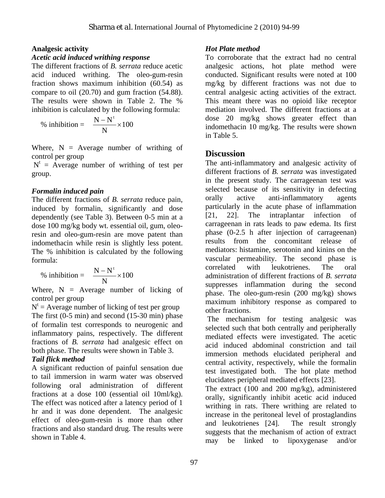#### **Analgesic activity**

#### *Acetic acid induced writhing response*

The different fractions of *B. serrata* reduce acetic acid induced writhing. The oleo-gum-resin fraction shows maximum inhibition (60.54) as compare to oil (20.70) and gum fraction (54.88). The results were shown in Table 2. The % inhibition is calculated by the following formula:

% inhibition = 
$$
\frac{N - N^{t}}{N} \times 100
$$

Where,  $N =$  Average number of writhing of control per group

 $N<sup>t</sup>$  = Average number of writhing of test per group.

#### *Formalin induced pain*

The different fractions of *B. serrata* reduce pain, induced by formalin, significantly and dose dependently (see Table 3). Between 0-5 min at a dose 100 mg/kg body wt. essential oil, gum, oleoresin and oleo-gum-resin are move patent than indomethacin while resin is slightly less potent. The % inhibition is calculated by the following formula:

% inhibition = 
$$
\frac{N - N^{t}}{N} \times 100
$$

Where,  $N =$  Average number of licking of control per group

 $N<sup>t</sup>$  = Average number of licking of test per group The first (0-5 min) and second (15-30 min) phase of formalin test corresponds to neurogenic and inflammatory pains, respectively. The different fractions of *B. serrata* had analgesic effect on both phase. The results were shown in Table 3.

#### *Tail flick method*

A significant reduction of painful sensation due to tail immersion in warm water was observed following oral administration of different fractions at a dose 100 (essential oil 10ml/kg). The effect was noticed after a latency period of 1 hr and it was done dependent. The analgesic effect of oleo-gum-resin is more than other fractions and also standard drug. The results were shown in Table 4.

#### *Hot Plate method*

To corroborate that the extract had no central analgesic actions, hot plate method were conducted. Significant results were noted at 100 mg/kg by different fractions was not due to central analgesic acting activities of the extract. This meant there was no opioid like receptor mediation involved. The different fractions at a dose 20 mg/kg shows greater effect than indomethacin 10 mg/kg. The results were shown in Table 5.

# **Discussion**

The anti-inflammatory and analgesic activity of different fractions of *B. serrata* was investigated in the present study. The carrageenan test was selected because of its sensitivity in defecting orally active anti-inflammatory agents particularly in the acute phase of inflammation [21, 22]. The intraplantar infection of carrageenan in rats leads to paw edema. Its first phase (0-2.5 h after injection of carrageenan) results from the concomitant release of mediators: histamine, serotonin and kinins on the vascular permeability. The second phase is correlated with leukotrienes. The oral administration of different fractions of *B. serrata* suppresses inflammation during the second phase. The oleo-gum-resin (200 mg/kg) shows maximum inhibitory response as compared to other fractions.

 The mechanism for testing analgesic was selected such that both centrally and peripherally mediated effects were investigated. The acetic acid induced abdominal constriction and tail immersion methods elucidated peripheral and central activity, respectively, while the formalin test investigated both. The hot plate method elucidates peripheral mediated effects [23].

The extract (100 and 200 mg/kg), administered orally, significantly inhibit acetic acid induced writhing in rats. There writhing are related to increase in the peritoneal level of prostaglandins and leukotrienes [24]. The result strongly suggests that the mechanism of action of extract may be linked to lipoxygenase and/or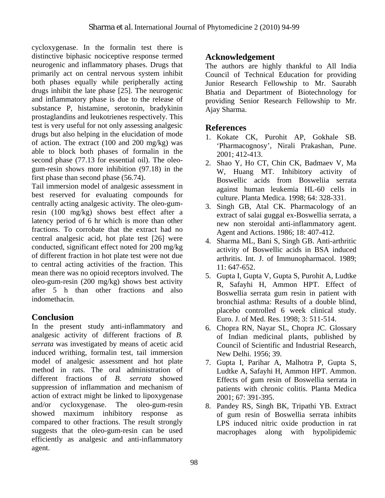cycloxygenase. In the formalin test there is distinctive biphasic nociceptive response termed neurogenic and inflammatory phases. Drugs that primarily act on central nervous system inhibit both phases equally while peripherally acting drugs inhibit the late phase [25]. The neurogenic and inflammatory phase is due to the release of substance P, histamine, serotonin, bradykinin prostaglandins and leukotrienes respectively. This test is very useful for not only assessing analgesic drugs but also helping in the elucidation of mode of action. The extract (100 and 200 mg/kg) was able to block both phases of formalin in the second phase (77.13 for essential oil). The oleogum-resin shows more inhibition (97.18) in the first phase than second phase (56.74).

Tail immersion model of analgesic assessment in best reserved for evaluating compounds for centrally acting analgesic activity. The oleo-gumresin (100 mg/kg) shows best effect after a latency period of 6 hr which is more than other fractions. To corrobate that the extract had no central analgesic acid, hot plate test [26] were conducted, significant effect noted for 200 mg/kg of different fraction in hot plate test were not due to central acting activities of the fraction. This mean there was no opioid receptors involved. The oleo-gum-resin (200 mg/kg) shows best activity after 5 h than other fractions and also indomethacin.

# **Conclusion**

In the present study anti-inflammatory and analgesic activity of different fractions of *B. serrata* was investigated by means of acetic acid induced writhing, formalin test, tail immersion model of analgesic assessment and hot plate method in rats. The oral administration of different fractions of *B. serrata* showed suppression of inflammation and mechanism of action of extract might be linked to lipoxygenase and/or cycloxygenase. The oleo-gum-resin showed maximum inhibitory response as compared to other fractions. The result strongly suggests that the oleo-gum-resin can be used efficiently as analgesic and anti-inflammatory agent.

# **Acknowledgement**

The authors are highly thankful to All India Council of Technical Education for providing Junior Research Fellowship to Mr. Saurabh Bhatia and Department of Biotechnology for providing Senior Research Fellowship to Mr. Ajay Sharma.

# **References**

- 1. Kokate CK, Purohit AP, Gokhale SB. 'Pharmacognosy', Nirali Prakashan, Pune. 2001; 412-413.
- 2. Shao Y, Ho CT, Chin CK, Badmaev V, Ma W, Huang MT. Inhibitory activity of Boswellic acids from Bosweliia serrata against human leukemia HL-60 cells in culture. Planta Medica. 1998; 64: 328-331.
- 3. Singh GB, Atal CK. Pharmacology of an extract of salai guggal ex-Boswellia serrata, a new non steroidal anti-inflammatory agent. Agent and Actions. 1986; 18: 407-412.
- 4. Sharma ML, Bani S, Singh GB. Anti-arthritic activity of Boswellic acids in BSA induced arthritis. Int. J. of Immunopharmacol. 1989; 11: 647-652.
- 5. Gupta I, Gupta V, Gupta S, Purohit A, Ludtke R, Safayhi H, Ammon HPT. Effect of Boswellia serrata gum resin in patient with bronchial asthma: Results of a double blind, placebo controlled 6 week clinical study. Euro. J. of Med. Res. 1998; 3: 511-514.
- 6. Chopra RN, Nayar SL, Chopra JC. Glossary of Indian medicinal plants, published by Council of Scientific and Industrial Research, New Delhi. 1956; 39.
- 7. Gupta I, Parihar A, Malhotra P, Gupta S, Ludtke A, Safayhi H, Ammon HPT. Ammon. Effects of gum resin of Boswellia serrata in patients with chronic colitis. Planta Medica 2001; 67: 391-395.
- 8. Pandey RS, Singh BK, Tripathi YB. Extract of gum resin of Boswellia serrata inhibits LPS induced nitric oxide production in rat macrophages along with hypolipidemic